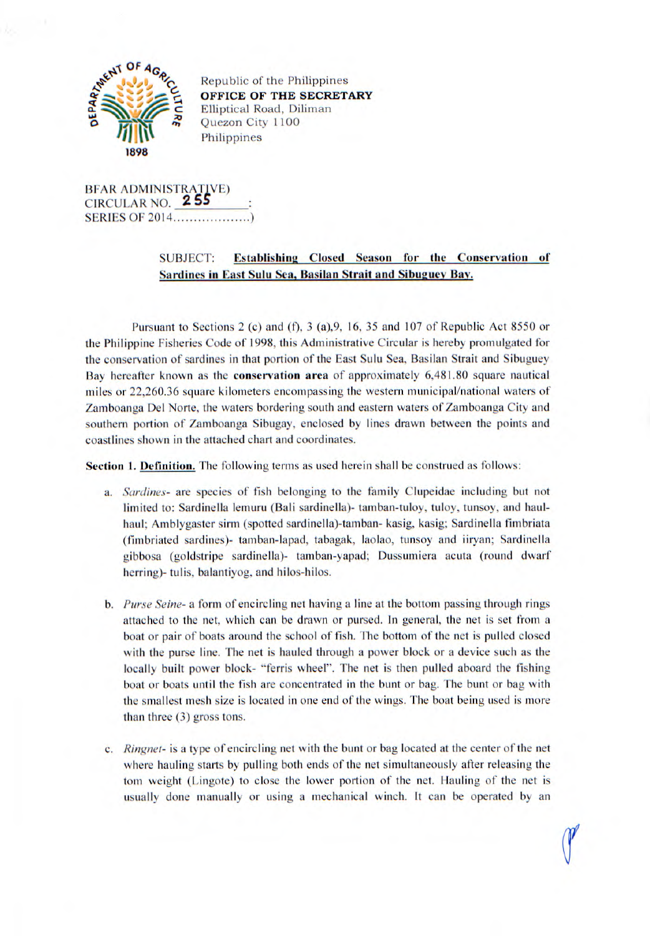

Republic of the Philippines OFFICE OF THE SECRETARY Elliptical Road, Diliman Quezon City 1100 Philippines

BFAR ADMINISTRATIVF) CIRCULAR NO. 2 5S SERIES OF 2014...................)

## **SUBJECT:** Establishing Closed Season for the Conservation of **Sardines in East Sulu Sea, Basilan Strait and Sibuguey Bay.**

Pursuant to Sections 2 (c) and (f), 3 (a), 9, 16, 35 and 107 of Republic Act 8550 or the Philippine Fisheries Code of 1998, this Administrative Circular is hereby promulgated for the conservation of sardines in that portion of the East Sulu Sea, Basilan Strait and Sibuguey Bay hereafter known as the **conservation area** of approximately 6,481.80 square nautical miles or 22,260.36 square kilometers encompassing the western municipal/national waters of Zamboanga Del Norte, the waters bordering south and eastern waters of Zamboanga City and southern portion of Zamboanga Sibugay, enclosed by lines drawn between the points and coastlines shown in the attached chart and coordinates.

**Section 1. Definition.** The following terms as used herein shall be construed as follows:

- *a. Sardines-* are species of fish belonging to the family Clupeidae including but not limited to: Sardinella lemuru (Bali sardinella)- tamban-tuloy, tuloy, tunsoy, and haulhaul; Amblygaster sirm (spotted sardinella)-tamban- kasig, kasig; Sardinella fimbriata (fimbriated sardines)- tamban-lapad, tabagak, laolao, tunsoy and iiryan; Sardinella gibbosa (goldstripe sardinella)- tamban-yapad; Dussumiera acuta (round dwarf herring)- tulis, balantiyog, and hilos-hilos.
- *b. Purse Seine-* a form of encircling net having a line at the bottom passing through rings attached to the net, which can be drawn or pursed. In general, the net is set from a boat or pair of boats around the school of fish. The bottom of the net is pulled closed with the purse line. The net is hauled through a power block or a device such as the locally built power block- "ferris wheel". The net is then pulled aboard the fishing boat or boats until the fish are concentrated in the bunt or bag. The bunt or bag with the smallest mesh size is located in one end of the wings. The boat being used is more than three (3) gross tons.
- *c. Ringnet-* is a type of encircling net with the bunt or bag located at the center of the net where hauling starts by pulling both ends of the net simultaneously after releasing the tom weight (Lingote) to close the lower portion of the net. Hauling of the net is usually done manually or using a mechanical winch. It can be operated by an

"I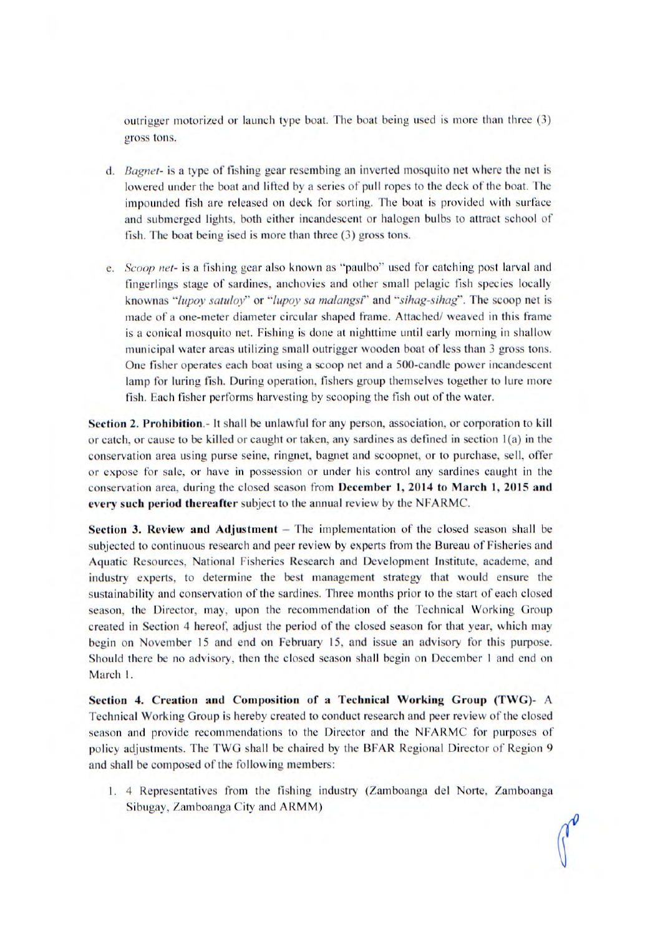outrigger motorized or launch type boat. The boat being used is more than three (3) gross tons.

- *d. Bagnet- is* a type of fishing gear resembing an inverted mosquito net where the net is lowered under the boat and lifted by a series of pull ropes to the deck of the boat. The impounded fish are released on deck for sorting. The boat is provided with surface and submerged lights, both either incandescent or halogen bulbs to attract school of fish. The boat being ised is more than three  $(3)$  gross tons.
- *e. Scoop net- is* a fishing gear also known as "paulbo" used for catching post larval and fingerlings stage of sardines, anchovies and other small pelagic fish species locally *knownas "lupoy satuloy"* or *"lupoy sa malangsi"* and *"sihag-sihag".* The scoop net is made of a one-meter diameter circular shaped frame. Attached/ weaved in this frame is a conical mosquito net. Fishing is done at nighttime until early morning in shallow municipal water areas utilizing small outrigger wooden boat of less than 3 gross tons. One fisher operates each boat using a scoop net and a 500-candle power incandescent lamp for luring fish. During operation, fishers group themselves together to lure more fish. Each fisher performs harvesting by scooping the fish out of the water.

**Section 2. Prohibition.-** It shall be unlawful for any person, association, or corporation to kill or catch, or cause to be killed or caught or taken, any sardines as defined in section 1(a) in the conservation area using purse seine, ringnet, bagnet and scoopnet, or to purchase, sell, offer or expose for sale, or have in possession or under his control any sardines caught in the conservation area, during the closed season from **December 1, 2014 to March 1, 2015 and every such period thereafter** subject to the annual review by the NFARMC.

**Section 3. Review and Adjustment** – The implementation of the closed season shall be subjected to continuous research and peer review by experts from the Bureau of Fisheries and Aquatic Resources, National Fisheries Research and Development Institute, academe, and industry experts, to determine the best management strategy that would ensure the sustainability and conservation of the sardines. Three months prior to the start of each closed season, the Director, may, upon the recommendation of the Technical Working Group created in Section 4 hereof, adjust the period of the closed season for that year, which may begin on November 15 and end on February 15, and issue an advisory for this purpose. Should there be no advisory, then the closed season shall begin on December 1 and end on March 1.

**Section 4. Creation and Composition of a Technical Working Group (TWG)- A**  Technical Working Group is hereby created to conduct research and peer review of the closed season and provide recommendations to the Director and the NFARMC for purposes of policy adjustments. The TWG shall be chaired by the BFAR Regional Director of Region 9 and shall be composed of the following members:

1. 4 Representatives from the fishing industry (Zamboanga del Norte, Zamboanga Sibugay, Zamboanga City and ARMM)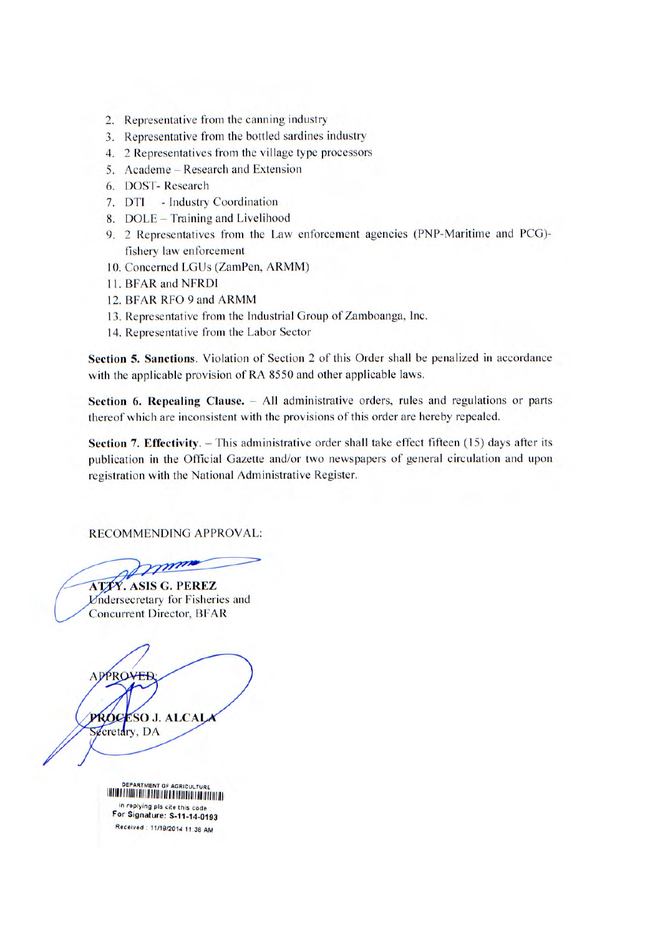- 2. Representative from the canning industry
- 3. Representative from the bottled sardines industry
- 4. 2 Representatives from the village type processors
- 5. Academe Research and Extension
- 6. DOST- Research
- 7. DTI Industry Coordination
- 8. DOLE Training and Livelihood
- 9. 2 Representatives from the Law enforcement agencies (PNP-Maritime and PCG) fishery law enforcement
- 10. Concerned LGUs (ZamPen, ARMM)
- 11. BFAR and NFRDI
- 12. BFAR RFO 9 and ARMM
- 13. Representative from the Industrial Group of Zamboanga, Inc.
- 14. Representative from the Labor Sector

**Section 5. Sanctions.** Violation of Section 2 of this Order shall be penalized in accordance with the applicable provision of RA *8550* and other applicable laws.

**Section 6. Repealing Clause.** - All administrative orders, rules and regulations or parts thereof which are inconsistent with the provisions of this order are hereby repealed.

**Section 7. Effectivity.** – This administrative order shall take effect fifteen (15) days after its publication in the Official Gazette and/or two newspapers of general circulation and upon registration with the National Administrative Register.

RECOMMENDING APPROVAL:

**ATIV. ASIS G. PEREZ** *<u>Undersecretary</u>* for Fisheries and Concurrent Director, BFAR

APPROVER PROCESO J. ALCALA Secretary, DA

| DEPARTMENT OF AGRICULTURE<br>THE REPORT OF REAL PROPERTY AND A REPORT OF PLANT OF REAL PROPERTY. |
|--------------------------------------------------------------------------------------------------|
| in replying pls cite this code<br>For Signature: S-11-14-0193                                    |
| Received: 11/18/2014 11:38 AM                                                                    |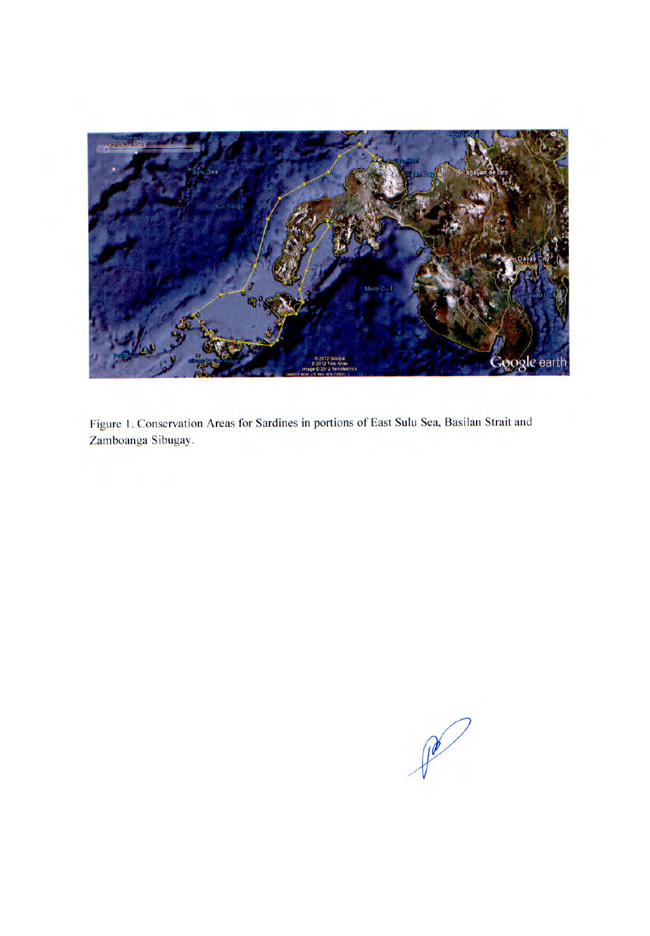

Figure 1. Conservation Areas for Sardines in portions of East Sulu Sea, Basilan Strait and Zamboanga Sibugay.

P